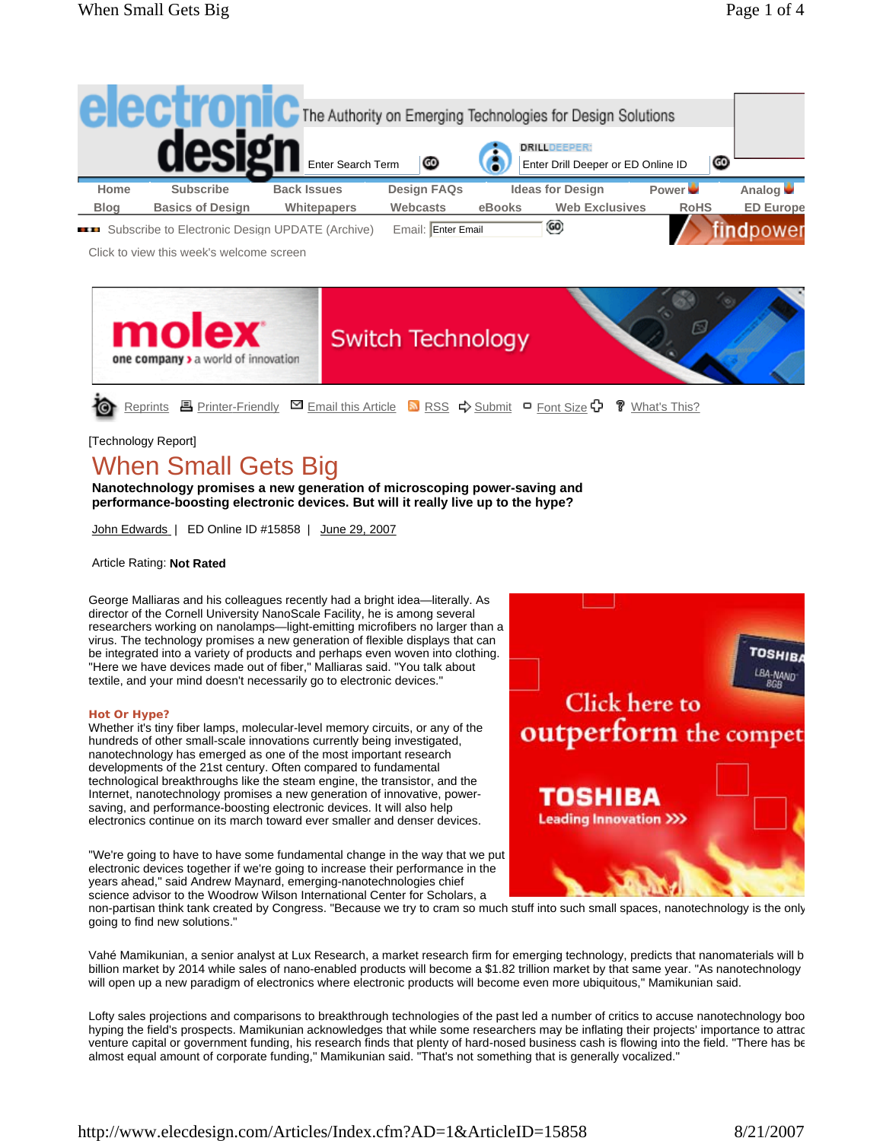

GO)

**Example 3** Subscribe to Electronic Design UPDATE (Archive) Email: Enter Email

Click to view this week's welcome screen



## [Technology Report]

# When Small Gets Big

**Nanotechnology promises a new generation of microscoping power-saving and performance-boosting electronic devices. But will it really live up to the hype?**

John Edwards | ED Online ID #15858 | June 29, 2007

Article Rating: **Not Rated**

George Malliaras and his colleagues recently had a bright idea—literally. As director of the Cornell University NanoScale Facility, he is among several researchers working on nanolamps—light-emitting microfibers no larger than a virus. The technology promises a new generation of flexible displays that can be integrated into a variety of products and perhaps even woven into clothing. "Here we have devices made out of fiber," Malliaras said. "You talk about textile, and your mind doesn't necessarily go to electronic devices."

## **Hot Or Hype?**

Whether it's tiny fiber lamps, molecular-level memory circuits, or any of the hundreds of other small-scale innovations currently being investigated, nanotechnology has emerged as one of the most important research developments of the 21st century. Often compared to fundamental technological breakthroughs like the steam engine, the transistor, and the Internet, nanotechnology promises a new generation of innovative, powersaving, and performance-boosting electronic devices. It will also help electronics continue on its march toward ever smaller and denser devices.

"We're going to have to have some fundamental change in the way that we put electronic devices together if we're going to increase their performance in the years ahead," said Andrew Maynard, emerging-nanotechnologies chief science advisor to the Woodrow Wilson International Center for Scholars, a



non-partisan think tank created by Congress. "Because we try to cram so much stuff into such small spaces, nanotechnology is the only going to find new solutions."

Vahé Mamikunian, a senior analyst at Lux Research, a market research firm for emerging technology, predicts that nanomaterials will b billion market by 2014 while sales of nano-enabled products will become a \$1.82 trillion market by that same year. "As nanotechnology will open up a new paradigm of electronics where electronic products will become even more ubiquitous," Mamikunian said.

Lofty sales projections and comparisons to breakthrough technologies of the past led a number of critics to accuse nanotechnology boo hyping the field's prospects. Mamikunian acknowledges that while some researchers may be inflating their projects' importance to attrac venture capital or government funding, his research finds that plenty of hard-nosed business cash is flowing into the field. "There has be almost equal amount of corporate funding," Mamikunian said. "That's not something that is generally vocalized."

dpowei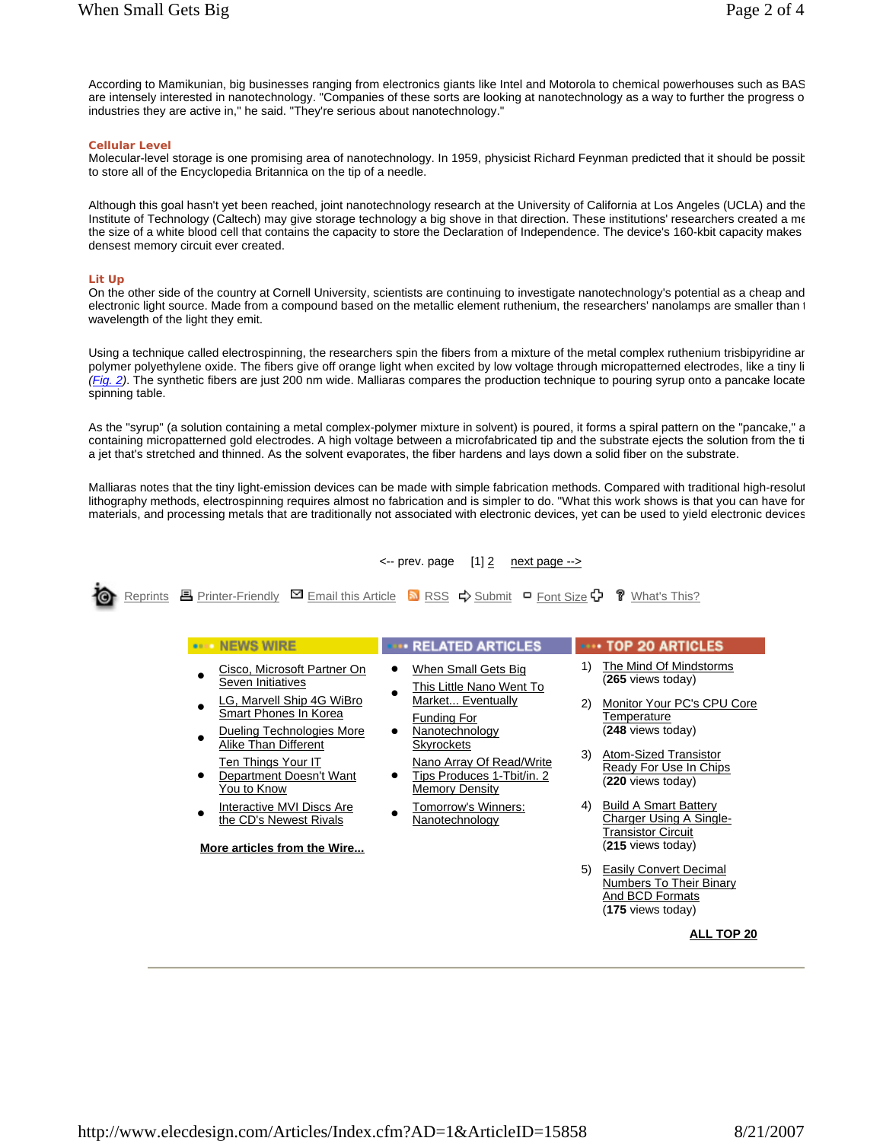According to Mamikunian, big businesses ranging from electronics giants like Intel and Motorola to chemical powerhouses such as BAS are intensely interested in nanotechnology. "Companies of these sorts are looking at nanotechnology as a way to further the progress o industries they are active in," he said. "They're serious about nanotechnology."

## **Cellular Level**

Molecular-level storage is one promising area of nanotechnology. In 1959, physicist Richard Feynman predicted that it should be possib to store all of the Encyclopedia Britannica on the tip of a needle.

Although this goal hasn't yet been reached, joint nanotechnology research at the University of California at Los Angeles (UCLA) and the Institute of Technology (Caltech) may give storage technology a big shove in that direction. These institutions' researchers created a me the size of a white blood cell that contains the capacity to store the Declaration of Independence. The device's 160-kbit capacity makes densest memory circuit ever created.

## **Lit Up**

On the other side of the country at Cornell University, scientists are continuing to investigate nanotechnology's potential as a cheap and electronic light source. Made from a compound based on the metallic element ruthenium, the researchers' nanolamps are smaller than t wavelength of the light they emit.

Using a technique called electrospinning, the researchers spin the fibers from a mixture of the metal complex ruthenium trisbipyridine an polymer polyethylene oxide. The fibers give off orange light when excited by low voltage through micropatterned electrodes, like a tiny li *(Fig. 2)*. The synthetic fibers are just 200 nm wide. Malliaras compares the production technique to pouring syrup onto a pancake locate spinning table.

As the "syrup" (a solution containing a metal complex-polymer mixture in solvent) is poured, it forms a spiral pattern on the "pancake," a containing micropatterned gold electrodes. A high voltage between a microfabricated tip and the substrate ejects the solution from the ti a jet that's stretched and thinned. As the solvent evaporates, the fiber hardens and lays down a solid fiber on the substrate.

Malliaras notes that the tiny light-emission devices can be made with simple fabrication methods. Compared with traditional high-resolut lithography methods, electrospinning requires almost no fabrication and is simpler to do. "What this work shows is that you can have for materials, and processing metals that are traditionally not associated with electronic devices, yet can be used to yield electronic devices

 $\leftarrow$  prev. page [1]  $\geq$  next page  $\rightarrow$ 



Reprints E Printer-Friendly  $\boxtimes$  Email this Article  $\blacksquare$  RSS  $\Rightarrow$  Submit  $\Box$  Font Size  $\Box$   $\Box$  What's This?

| <b>NEWS WIRE</b>                                                                     | <b>RELATED ARTICLES</b>                                                                                                                                                                                | <b>TOP 20 ARTICLES</b>                                                                                   |
|--------------------------------------------------------------------------------------|--------------------------------------------------------------------------------------------------------------------------------------------------------------------------------------------------------|----------------------------------------------------------------------------------------------------------|
| Cisco, Microsoft Partner On<br>Seven Initiatives                                     | When Small Gets Big<br>This Little Nano Went To<br>Market Eventually<br>Funding For<br>Nanotechnology<br><b>Skyrockets</b><br>Nano Array Of Read/Write<br>Tips Produces 1-Tbit/in. 2<br>Memory Density | The Mind Of Mindstorms<br>1)<br>(265 views today)                                                        |
| LG, Marvell Ship 4G WiBro<br>Smart Phones In Korea<br>Dueling Technologies More      |                                                                                                                                                                                                        | (2)<br>Monitor Your PC's CPU Core<br><b>Temperature</b><br>(248 views today)                             |
| Alike Than Different<br>Ten Things Your IT<br>Department Doesn't Want<br>You to Know |                                                                                                                                                                                                        | 3)<br>Atom-Sized Transistor<br>Ready For Use In Chips<br>(220 views today)                               |
| Interactive MVI Discs Are<br>the CD's Newest Rivals<br>More articles from the Wire   | Tomorrow's Winners:<br>Nanotechnology                                                                                                                                                                  | <b>Build A Smart Battery</b><br>4)<br>Charger Using A Single-<br>Transistor Circuit<br>(215 views today) |
|                                                                                      |                                                                                                                                                                                                        | <b>Easily Convert Decimal</b><br>5)<br>Numbers To Their Binary<br>And BCD Formats<br>(175 views today)   |
|                                                                                      |                                                                                                                                                                                                        | <b>ALL TOP 20</b>                                                                                        |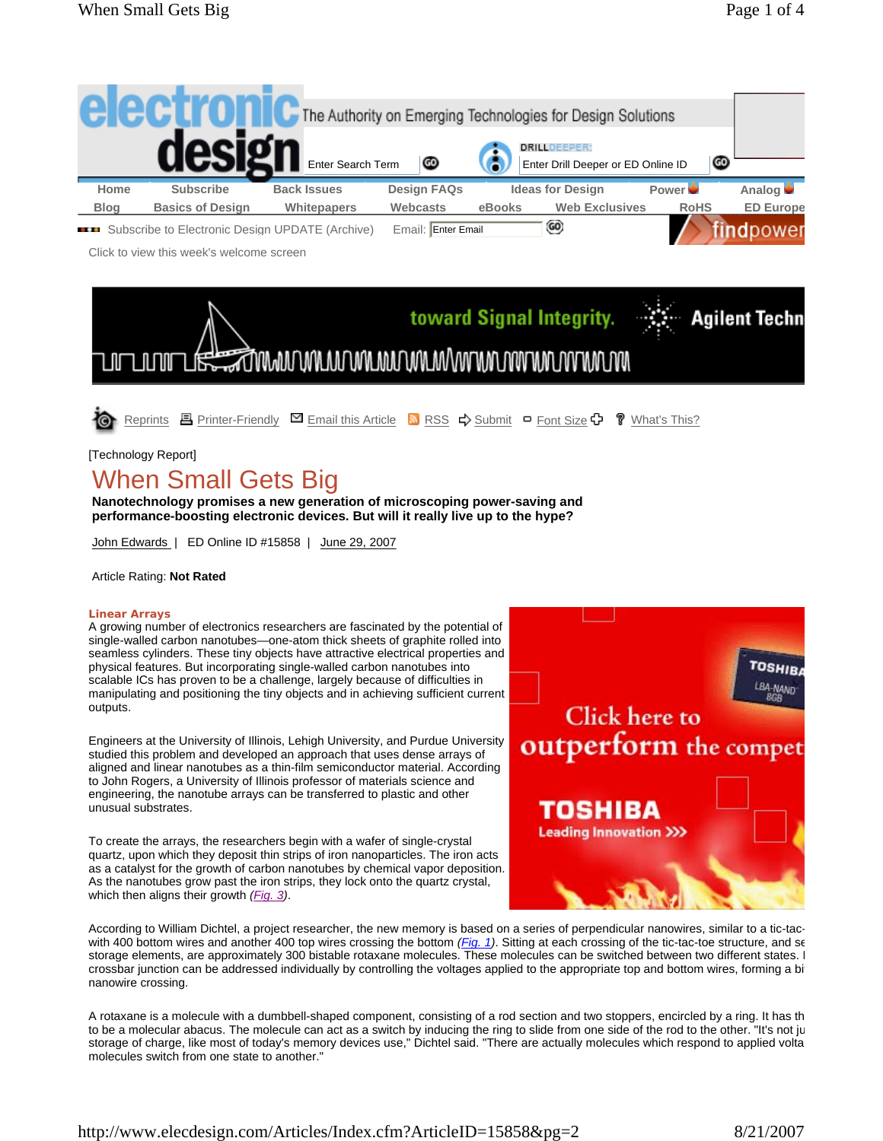

**EXAMPLE 3** Subscribe to Electronic Design UPDATE (Archive) Email: Enter Email

Click to view this week's welcome screen



[Technology Report]

## When Small Gets Big

**Nanotechnology promises a new generation of microscoping power-saving and performance-boosting electronic devices. But will it really live up to the hype?**

John Edwards | ED Online ID #15858 | June 29, 2007

## Article Rating: **Not Rated**

## **Linear Arrays**

A growing number of electronics researchers are fascinated by the potential of single-walled carbon nanotubes—one-atom thick sheets of graphite rolled into seamless cylinders. These tiny objects have attractive electrical properties and physical features. But incorporating single-walled carbon nanotubes into scalable ICs has proven to be a challenge, largely because of difficulties in manipulating and positioning the tiny objects and in achieving sufficient current outputs.

Engineers at the University of Illinois, Lehigh University, and Purdue University studied this problem and developed an approach that uses dense arrays of aligned and linear nanotubes as a thin-film semiconductor material. According to John Rogers, a University of Illinois professor of materials science and engineering, the nanotube arrays can be transferred to plastic and other unusual substrates.

To create the arrays, the researchers begin with a wafer of single-crystal quartz, upon which they deposit thin strips of iron nanoparticles. The iron acts as a catalyst for the growth of carbon nanotubes by chemical vapor deposition. As the nanotubes grow past the iron strips, they lock onto the quartz crystal, which then aligns their growth *(Fig. 3)*.



According to William Dichtel, a project researcher, the new memory is based on a series of perpendicular nanowires, similar to a tic-tacwith 400 bottom wires and another 400 top wires crossing the bottom *(Fig. 1)*. Sitting at each crossing of the tic-tac-toe structure, and se storage elements, are approximately 300 bistable rotaxane molecules. These molecules can be switched between two different states. I crossbar junction can be addressed individually by controlling the voltages applied to the appropriate top and bottom wires, forming a bit nanowire crossing.

A rotaxane is a molecule with a dumbbell-shaped component, consisting of a rod section and two stoppers, encircled by a ring. It has th to be a molecular abacus. The molecule can act as a switch by inducing the ring to slide from one side of the rod to the other. "It's not ju storage of charge, like most of today's memory devices use," Dichtel said. "There are actually molecules which respond to applied volta molecules switch from one state to another."